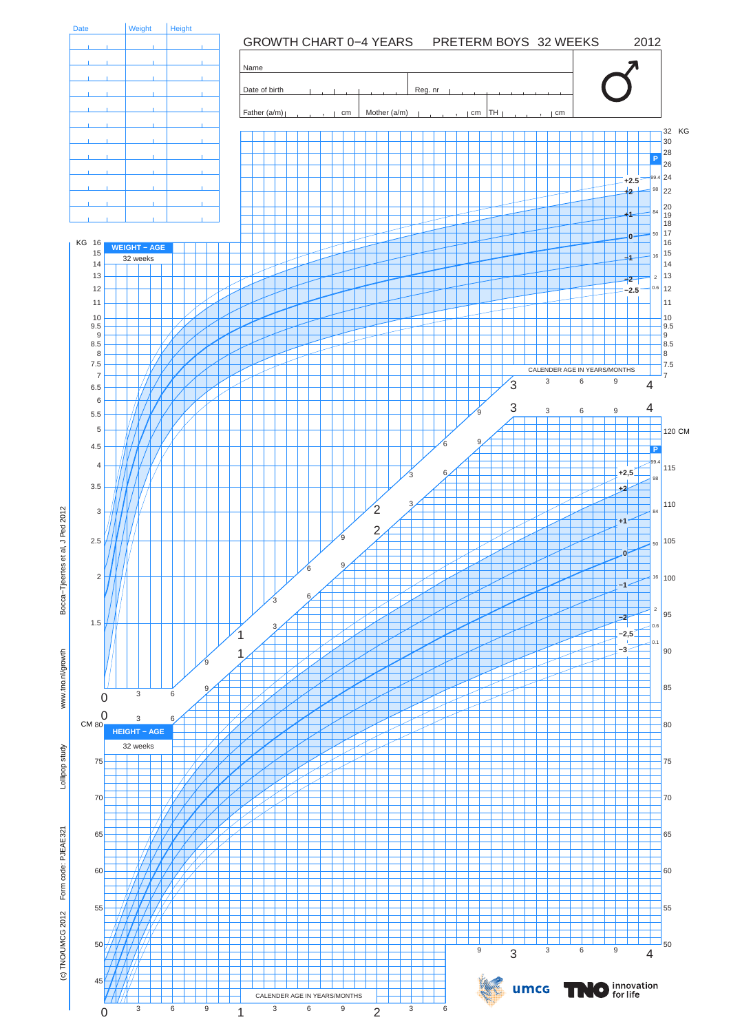